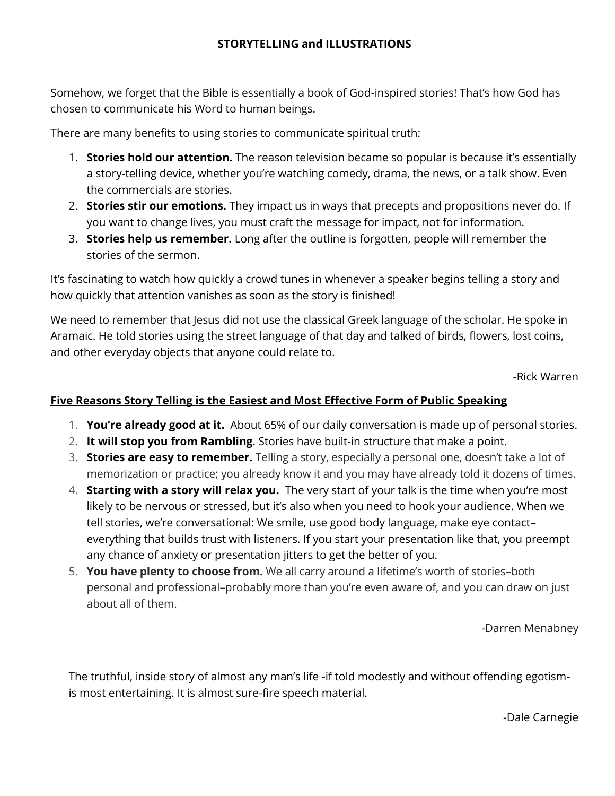Somehow, we forget that the Bible is essentially a book of God-inspired stories! That's how God has chosen to communicate his Word to human beings.

There are many benefits to using stories to communicate spiritual truth:

- 1. **Stories hold our attention.** The reason television became so popular is because it's essentially a story-telling device, whether you're watching comedy, drama, the news, or a talk show. Even the commercials are stories.
- 2. **Stories stir our emotions.** They impact us in ways that precepts and propositions never do. If you want to change lives, you must craft the message for impact, not for information.
- 3. **Stories help us remember.** Long after the outline is forgotten, people will remember the stories of the sermon.

It's fascinating to watch how quickly a crowd tunes in whenever a speaker begins telling a story and how quickly that attention vanishes as soon as the story is finished!

We need to remember that Jesus did not use the classical Greek language of the scholar. He spoke in Aramaic. He told stories using the street language of that day and talked of birds, flowers, lost coins, and other everyday objects that anyone could relate to.

-Rick Warren

## **Five Reasons Story Telling is the Easiest and Most Effective Form of Public Speaking**

- 1. **You're already good at it.** About 65% of our daily conversation is made up of personal stories.
- 2. **It will stop you from Rambling**. Stories have built-in structure that make a point.
- 3. **Stories are easy to remember.** Telling a story, especially a personal one, doesn't take a lot of memorization or practice; you already know it and you may have already told it dozens of times.
- 4. **Starting with a story will relax you.** The very start of your talk is the time when you're most likely to be nervous or stressed, but it's also [when you need to hook your audience.](https://www.fastcompany.com/40504364/exactly-how-to-grab-anyones-attention-in-7-common-work-situations) When we tell stories, we're conversational: We smile, use good body language, make eye contact– everything that builds trust with listeners. If you start your presentation like that, you preempt any chance of anxiety or presentation jitters to get the better of you.
- 5. **You have plenty to choose from.** We all carry around a lifetime's worth of stories–both personal and professional–probably more than you're even aware of, and you can draw on just about all of them.

[-Darren Menabney](https://medium.com/@darmenab?source=post_page-----62ddd8ad7e7f-----------------------------------)

The truthful, inside story of almost any man's life -if told modestly and without offending egotismis most entertaining. It is almost sure-fire speech material.

-Dale Carnegie